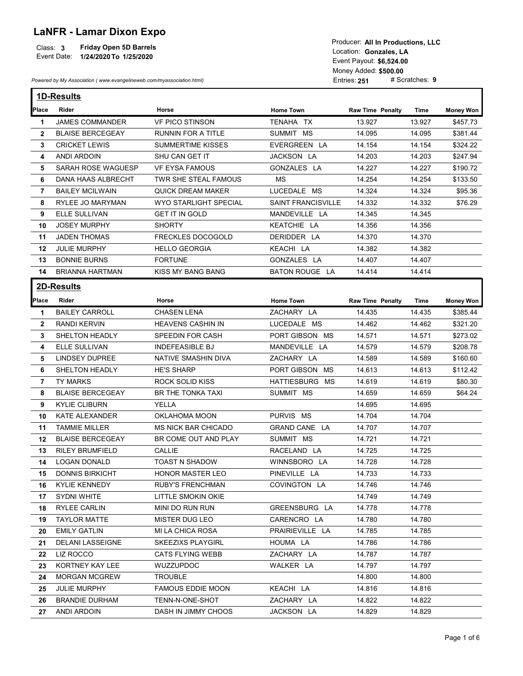## LaNFR - Lamar Dixon Expo

|             |                               | TUUUUUI. AILIILETUUUUUIUIS. LLU |
|-------------|-------------------------------|---------------------------------|
| Class: 3    | <b>Friday Open 5D Barrels</b> | Location: Gonzales, LA          |
| Event Date: | 1/24/2020 To 1/25/2020        |                                 |
|             |                               | Event Pavout: CG 524 00         |

| <b>LaNFR - Lamar Dixon Expo</b><br><b>Friday Open 5D Barrels</b><br>Class: 3<br>Event Date: 1/24/2020 To 1/25/2020 |                                                                      |                           |                           | Producer: All In Productions, LLC<br>Location: Gonzales, LA<br>Event Payout: \$6,524.00<br>Money Added: \$500.00 |                |                  |
|--------------------------------------------------------------------------------------------------------------------|----------------------------------------------------------------------|---------------------------|---------------------------|------------------------------------------------------------------------------------------------------------------|----------------|------------------|
|                                                                                                                    | Powered by My Association (www.evangelineweb.com/myassociation.html) |                           |                           | Entries: 251                                                                                                     | # Scratches: 9 |                  |
|                                                                                                                    | <b>1D-Results</b>                                                    |                           |                           |                                                                                                                  |                |                  |
|                                                                                                                    | Rider                                                                | Horse                     |                           |                                                                                                                  |                |                  |
| Place                                                                                                              |                                                                      |                           | <b>Home Town</b>          | <b>Raw Time Penalty</b>                                                                                          | Time           | <b>Money Won</b> |
| -1                                                                                                                 | <b>JAMES COMMANDER</b>                                               | <b>VF PICO STINSON</b>    | TENAHA TX                 | 13.927                                                                                                           | 13.927         | \$457.73         |
| $\mathbf{2}$                                                                                                       | <b>BLAISE BERCEGEAY</b>                                              | <b>RUNNIN FOR A TITLE</b> | SUMMIT MS                 | 14.095                                                                                                           | 14.095         | \$381.44         |
| 3                                                                                                                  | <b>CRICKET LEWIS</b>                                                 | <b>SUMMERTIME KISSES</b>  | EVERGREEN LA              | 14.154                                                                                                           | 14.154         | \$324.22         |
| 4                                                                                                                  | <b>ANDI ARDOIN</b>                                                   | SHU CAN GET IT            | JACKSON LA                | 14.203                                                                                                           | 14.203         | \$247.94         |
| 5                                                                                                                  | SARAH ROSE WAGUESP                                                   | <b>VF EYSA FAMOUS</b>     | GONZALES LA               | 14.227                                                                                                           | 14.227         | \$190.72         |
| 6                                                                                                                  | DANA HAAS ALBRECHT                                                   | TWR SHE STEAL FAMOUS      | MS                        | 14.254                                                                                                           | 14.254         | \$133.50         |
| $\overline{7}$                                                                                                     | <b>BAILEY MCILWAIN</b>                                               | <b>QUICK DREAM MAKER</b>  | LUCEDALE MS               | 14.324                                                                                                           | 14.324         | \$95.36          |
| 8                                                                                                                  | RYLEE JO MARYMAN                                                     | WYO STARLIGHT SPECIAL     | <b>SAINT FRANCISVILLE</b> | 14.332                                                                                                           | 14.332         | \$76.29          |
| 9                                                                                                                  | ELLE SULLIVAN                                                        | <b>GET IT IN GOLD</b>     | MANDEVILLE LA             | 14.345                                                                                                           | 14.345         |                  |
| 10                                                                                                                 | <b>JOSEY MURPHY</b>                                                  | <b>SHORTY</b>             | KEATCHIE LA               | 14.356                                                                                                           | 14.356         |                  |
| 11                                                                                                                 | <b>JADEN THOMAS</b>                                                  | FRECKLES DOCOGOLD         | DERIDDER LA               | 14.370                                                                                                           | 14.370         |                  |
| 12                                                                                                                 | <b>JULIE MURPHY</b>                                                  | <b>HELLO GEORGIA</b>      | KEACHI LA                 | 14.382                                                                                                           | 14.382         |                  |
| 13                                                                                                                 | <b>BONNIE BURNS</b>                                                  | <b>FORTUNE</b>            | GONZALES LA               | 14.407                                                                                                           | 14.407         |                  |
|                                                                                                                    | 14 BRIANNA HARTMAN                                                   | KISS MY BANG BANG         | BATON ROUGE LA            | 14.414                                                                                                           | 14.414         |                  |
|                                                                                                                    | 2D-Results                                                           |                           |                           |                                                                                                                  |                |                  |
| Place                                                                                                              | Rider                                                                | Horse                     | <b>Home Town</b>          | <b>Raw Time Penalty</b>                                                                                          | Time           | <b>Money Won</b> |
| -1                                                                                                                 | <b>BAILEY CARROLL</b>                                                | <b>CHASEN LENA</b>        | ZACHARY LA                | 14.435                                                                                                           | 14.435         | \$385.44         |
| $\mathbf{2}$                                                                                                       | RANDI KERVIN                                                         | <b>HEAVENS CASHIN IN</b>  | LUCEDALE MS               | 14.462                                                                                                           | 14.462         | \$321.20         |
| 3                                                                                                                  | SHELTON HEADLY                                                       | SPEEDIN FOR CASH          | PORT GIBSON MS            | 14.571                                                                                                           | 14.571         | \$273.02         |
| 4                                                                                                                  | ELLE SULLIVAN                                                        | <b>INDEFEASIBLE BJ</b>    | MANDEVILLE LA             | 14.579                                                                                                           | 14.579         | \$208.78         |
| 5.                                                                                                                 | LINDSEY DUPREE                                                       | NATIVE SMASHIN DIVA       | ZACHARY LA                | 14.589                                                                                                           | 14.589         | \$160.60         |
| 6                                                                                                                  | SHELTON HEADLY                                                       | <b>HE'S SHARP</b>         | PORT GIBSON MS            | 14.613                                                                                                           | 14.613         | \$112.42         |
| 7                                                                                                                  | TY MARKS                                                             | ROCK SOLID KISS           | HATTIESBURG MS            | 14.619                                                                                                           | 14.619         | \$80.30          |
|                                                                                                                    | <b>BLAISE BERCEGEAY</b>                                              | BR THE TONKA TAXI         | SUMMIT MS                 | 14.659                                                                                                           | 14.659         | \$64.24          |
|                                                                                                                    | <b>KYLIE CLIBURN</b>                                                 | YELLA                     |                           | 14.695                                                                                                           | 14.695         |                  |
| 8                                                                                                                  |                                                                      |                           | PURVIS MS                 | 14.704                                                                                                           | 14.704         |                  |
| 9                                                                                                                  |                                                                      |                           |                           |                                                                                                                  |                |                  |
| 10                                                                                                                 | KATE ALEXANDER                                                       | OKLAHOMA MOON             |                           |                                                                                                                  |                |                  |
| 11                                                                                                                 | <b>TAMMIE MILLER</b>                                                 | MS NICK BAR CHICADO       | GRAND CANE LA             | 14.707                                                                                                           | 14.707         |                  |
| 12                                                                                                                 | <b>BLAISE BERCEGEAY</b>                                              | BR COME OUT AND PLAY      | SUMMIT MS                 | 14.721                                                                                                           | 14.721         |                  |
| 13                                                                                                                 | <b>RILEY BRUMFIELD</b>                                               | <b>CALLIE</b>             | RACELAND LA               | 14.725                                                                                                           | 14.725         |                  |
| 14.                                                                                                                | LOGAN DONALD                                                         | <b>TOAST N SHADOW</b>     | WINNSBORO LA              | 14.728                                                                                                           | 14.728         |                  |
| 15                                                                                                                 | <b>DONNIS BIRKICHT</b>                                               | <b>HONOR MASTER LEO</b>   | PINEVILLE LA              | 14.733                                                                                                           | 14.733         |                  |
| 16.                                                                                                                | <b>KYLIE KENNEDY</b>                                                 | <b>RUBY'S FRENCHMAN</b>   | COVINGTON LA              | 14.746                                                                                                           | 14.746         |                  |
| 17                                                                                                                 | SYDNI WHITE                                                          | LITTLE SMOKIN OKIE        |                           | 14.749                                                                                                           | 14.749         |                  |
| 18                                                                                                                 | <b>RYLEE CARLIN</b>                                                  | MINI DO RUN RUN           | GREENSBURG LA             | 14.778                                                                                                           | 14.778         |                  |
| 19                                                                                                                 | <b>TAYLOR MATTE</b>                                                  | MISTER DUG LEO            | CARENCRO LA               | 14.780                                                                                                           | 14.780         |                  |
| 20                                                                                                                 | <b>EMILY GATLIN</b>                                                  | MI LA CHICA ROSA          | PRAIRIEVILLE LA           | 14.785                                                                                                           | 14.785         |                  |
| 21                                                                                                                 | DELANI LASSEIGNE                                                     | <b>SKEEZIXS PLAYGIRL</b>  | HOUMA LA                  | 14.786                                                                                                           | 14.786         |                  |
| 22                                                                                                                 | LIZ ROCCO                                                            | <b>CATS FLYING WEBB</b>   | ZACHARY LA                | 14.787                                                                                                           | 14.787         |                  |
| 23                                                                                                                 | KORTNEY KAY LEE                                                      | <b>WUZZUPDOC</b>          | WALKER LA                 | 14.797                                                                                                           | 14.797         |                  |
| 24                                                                                                                 | <b>MORGAN MCGREW</b>                                                 | <b>TROUBLE</b>            |                           | 14.800                                                                                                           | 14.800         |                  |
| 25                                                                                                                 | <b>JULIE MURPHY</b>                                                  | <b>FAMOUS EDDIE MOON</b>  | KEACHI LA                 | 14.816                                                                                                           | 14.816         |                  |
| 26                                                                                                                 | <b>BRANDIE DURHAM</b>                                                | TENN-N-ONE-SHOT           | ZACHARY LA                | 14.822                                                                                                           | 14.822         |                  |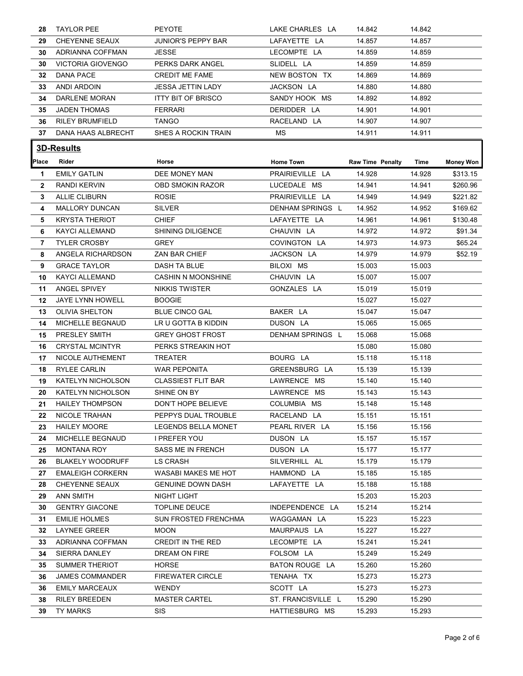| 28           | <b>TAYLOR PEE</b>                | <b>PEYOTE</b>               | LAKE CHARLES LA                      | 14.842                  | 14.842           |                  |
|--------------|----------------------------------|-----------------------------|--------------------------------------|-------------------------|------------------|------------------|
| 29           | <b>CHEYENNE SEAUX</b>            | <b>JUNIOR'S PEPPY BAR</b>   | LAFAYETTE LA                         | 14.857                  | 14.857           |                  |
| 30           | ADRIANNA COFFMAN                 | JESSE                       | LECOMPTE LA                          | 14.859                  | 14.859           |                  |
| 30           | <b>VICTORIA GIOVENGO</b>         | PERKS DARK ANGEL            | SLIDELL LA                           | 14.859                  | 14.859           |                  |
| 32           | <b>DANA PACE</b>                 | <b>CREDIT ME FAME</b>       | NEW BOSTON TX                        | 14.869                  | 14.869           |                  |
| 33           | ANDI ARDOIN                      | <b>JESSA JETTIN LADY</b>    | JACKSON LA                           | 14.880                  | 14.880           |                  |
| 34           | DARLENE MORAN                    | <b>ITTY BIT OF BRISCO</b>   | SANDY HOOK MS                        | 14.892                  | 14.892           |                  |
| 35           | <b>JADEN THOMAS</b>              | <b>FERRARI</b>              | DERIDDER LA                          | 14.901                  | 14.901           |                  |
| 36           | <b>RILEY BRUMFIELD</b>           | <b>TANGO</b>                | RACELAND LA                          | 14.907                  | 14.907           |                  |
| 37           | DANA HAAS ALBRECHT               | SHES A ROCKIN TRAIN         | MS                                   | 14.911                  | 14.911           |                  |
|              |                                  |                             |                                      |                         |                  |                  |
|              | 3D-Results                       |                             |                                      |                         |                  |                  |
| <b>Place</b> | Rider                            | Horse                       | <b>Home Town</b>                     | <b>Raw Time Penalty</b> | Time             | <b>Money Won</b> |
| -1           | <b>EMILY GATLIN</b>              | DEE MONEY MAN               | PRAIRIEVILLE LA                      | 14.928                  | 14.928           | \$313.15         |
| $\mathbf{2}$ | <b>RANDI KERVIN</b>              | <b>OBD SMOKIN RAZOR</b>     | LUCEDALE MS                          | 14.941                  | 14.941           | \$260.96         |
| 3            | <b>ALLIE CLIBURN</b>             | <b>ROSIE</b>                | PRAIRIEVILLE LA                      | 14.949                  | 14.949           | \$221.82         |
| 4            | <b>MALLORY DUNCAN</b>            | <b>SILVER</b>               | DENHAM SPRINGS L                     | 14.952                  | 14.952           | \$169.62         |
| 5            | <b>KRYSTA THERIOT</b>            | <b>CHIEF</b>                | LAFAYETTE LA                         | 14.961                  | 14.961           | \$130.48         |
| 6            | KAYCI ALLEMAND                   | SHINING DILIGENCE           | CHAUVIN LA                           | 14.972                  | 14.972           | \$91.34          |
| 7            | <b>TYLER CROSBY</b>              | <b>GREY</b>                 | COVINGTON LA                         | 14.973                  | 14.973           | \$65.24          |
| 8            | ANGELA RICHARDSON                | ZAN BAR CHIEF               | JACKSON LA                           | 14.979                  | 14.979           | \$52.19          |
| 9            | <b>GRACE TAYLOR</b>              | DASH TA BLUE                | BILOXI MS                            | 15.003                  | 15.003           |                  |
| 10           | <b>KAYCI ALLEMAND</b>            | <b>CASHIN N MOONSHINE</b>   | CHAUVIN LA                           | 15.007                  | 15.007           |                  |
| 11           | <b>ANGEL SPIVEY</b>              | <b>NIKKIS TWISTER</b>       | GONZALES LA                          | 15.019                  | 15.019           |                  |
| 12           | JAYE LYNN HOWELL                 | <b>BOOGIE</b>               |                                      | 15.027                  | 15.027           |                  |
| 13           | <b>OLIVIA SHELTON</b>            | <b>BLUE CINCO GAL</b>       | BAKER LA                             | 15.047                  | 15.047           |                  |
| 14           | MICHELLE BEGNAUD                 | LR U GOTTA B KIDDIN         | DUSON LA                             | 15.065                  | 15.065           |                  |
| 15           | PRESLEY SMITH                    | <b>GREY GHOST FROST</b>     | DENHAM SPRINGS L                     | 15.068                  | 15.068           |                  |
| 16.          | <b>CRYSTAL MCINTYR</b>           | PERKS STREAKIN HOT          |                                      | 15.080                  | 15.080           |                  |
| 17           | NICOLE AUTHEMENT                 | TREATER                     | BOURG LA                             | 15.118                  | 15.118           |                  |
| 18           | <b>RYLEE CARLIN</b>              | WAR PEPONITA                | GREENSBURG LA                        | 15.139                  | 15.139           |                  |
| 19           | <b>KATELYN NICHOLSON</b>         | <b>CLASSIEST FLIT BAR</b>   | LAWRENCE MS                          | 15.140                  | 15.140           |                  |
| 20           | KATELYN NICHOLSON                | SHINE ON BY                 | LAWRENCE MS                          | 15.143                  | 15.143           |                  |
| 21           | <b>HAILEY THOMPSON</b>           | DON'T HOPE BELIEVE          | COLUMBIA MS                          | 15.148                  | 15.148           |                  |
| 22           | NICOLE TRAHAN                    | PEPPYS DUAL TROUBLE         | RACELAND LA                          | 15.151                  | 15.151           |                  |
| 23           | <b>HAILEY MOORE</b>              | LEGENDS BELLA MONET         | PEARL RIVER LA                       | 15.156                  | 15.156           |                  |
| 24           | MICHELLE BEGNAUD                 | I PREFER YOU                | DUSON LA                             | 15.157                  | 15.157           |                  |
| 25           | <b>MONTANA ROY</b>               | <b>SASS ME IN FRENCH</b>    | DUSON LA                             | 15.177                  | 15.177           |                  |
| 26           | <b>BLAKELY WOODRUFF</b>          | LS CRASH                    | SILVERHILL AL                        | 15.179                  | 15.179           |                  |
| 27           | <b>EMALEIGH CORKERN</b>          | WASABI MAKES ME HOT         | HAMMOND LA                           | 15.185                  | 15.185           |                  |
| 28           | CHEYENNE SEAUX                   | <b>GENUINE DOWN DASH</b>    | LAFAYETTE LA                         | 15.188                  | 15.188           |                  |
| 29           | <b>ANN SMITH</b>                 | NIGHT LIGHT                 |                                      | 15.203                  | 15.203           |                  |
| 30           | <b>GENTRY GIACONE</b>            | <b>TOPLINE DEUCE</b>        | INDEPENDENCE LA                      | 15.214                  | 15.214           |                  |
| 31           | <b>EMILIE HOLMES</b>             | SUN FROSTED FRENCHMA        | WAGGAMAN LA                          | 15.223                  | 15.223           |                  |
| 32           | LAYNEE GREER                     | <b>MOON</b>                 | MAURPAUS LA                          | 15.227                  | 15.227           |                  |
| 33           | ADRIANNA COFFMAN                 | CREDIT IN THE RED           | LECOMPTE LA                          | 15.241                  | 15.241           |                  |
| 34           | SIERRA DANLEY                    | DREAM ON FIRE               | FOLSOM LA                            | 15.249                  | 15.249           |                  |
| 35           | <b>SUMMER THERIOT</b>            | <b>HORSE</b>                | BATON ROUGE LA                       | 15.260                  | 15.260           |                  |
| 36           | <b>JAMES COMMANDER</b>           | <b>FIREWATER CIRCLE</b>     | TENAHA TX                            | 15.273                  | 15.273           |                  |
|              | <b>EMILY MARCEAUX</b>            | WENDY                       | SCOTT LA                             | 15.273                  | 15.273           |                  |
| 36           |                                  |                             |                                      |                         |                  |                  |
| 38<br>39     | <b>RILEY BREEDEN</b><br>TY MARKS | <b>MASTER CARTEL</b><br>SIS | ST. FRANCISVILLE L<br>HATTIESBURG MS | 15.290<br>15.293        | 15.290<br>15.293 |                  |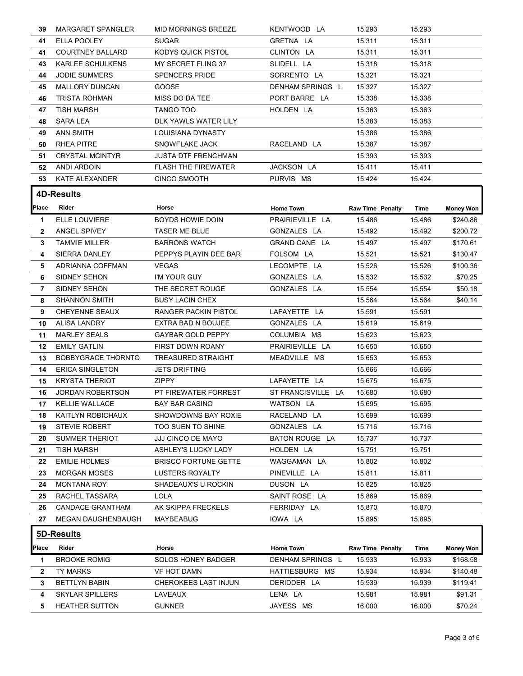| 39.          | MARGARET SPANGLER         | MID MORNINGS BREEZE         | KENTWOOD LA        | 15.293                  | 15.293 |                  |
|--------------|---------------------------|-----------------------------|--------------------|-------------------------|--------|------------------|
| 41           | ELLA POOLEY               | <b>SUGAR</b>                | GRETNA LA          | 15.311                  | 15.311 |                  |
| 41           | <b>COURTNEY BALLARD</b>   | KODYS QUICK PISTOL          | CLINTON LA         | 15.311                  | 15.311 |                  |
| 43.          | KARLEE SCHULKENS          | MY SECRET FLING 37          | SLIDELL LA         | 15.318                  | 15.318 |                  |
| 44           | <b>JODIE SUMMERS</b>      | <b>SPENCERS PRIDE</b>       | SORRENTO LA        | 15.321                  | 15.321 |                  |
| 45           | MALLORY DUNCAN            | <b>GOOSE</b>                | DENHAM SPRINGS L   | 15.327                  | 15.327 |                  |
| 46           | TRISTA ROHMAN             | MISS DO DA TEE              | PORT BARRE LA      | 15.338                  | 15.338 |                  |
| 47           | <b>TISH MARSH</b>         | TANGO TOO                   | HOLDEN LA          | 15.363                  | 15.363 |                  |
| 48.          | <b>SARA LEA</b>           | DLK YAWLS WATER LILY        |                    | 15.383                  | 15.383 |                  |
| 49           | ANN SMITH                 | LOUISIANA DYNASTY           |                    | 15.386                  | 15.386 |                  |
| 50           | <b>RHEA PITRE</b>         | SNOWFLAKE JACK              | RACELAND LA        | 15.387                  | 15.387 |                  |
| 51           | <b>CRYSTAL MCINTYR</b>    | <b>JUSTA DTF FRENCHMAN</b>  |                    | 15.393                  | 15.393 |                  |
| 52           | ANDI ARDOIN               | <b>FLASH THE FIREWATER</b>  | JACKSON LA         | 15.411                  | 15.411 |                  |
|              | <b>53 KATE ALEXANDER</b>  | CINCO SMOOTH                | PURVIS MS          | 15.424                  | 15.424 |                  |
|              |                           |                             |                    |                         |        |                  |
|              | <b>4D-Results</b>         |                             |                    |                         |        |                  |
|              | Place Rider               | Horse                       | Home Town          | <b>Raw Time Penalty</b> | Time   | <b>Money Won</b> |
| 1.           | ELLE LOUVIERE             | BOYDS HOWIE DOIN            | PRAIRIEVILLE LA    | 15.486                  | 15.486 | \$240.86         |
| $\mathbf{2}$ | ANGEL SPIVEY              | TASER ME BLUE               | GONZALES LA        | 15.492                  | 15.492 | \$200.72         |
| 3            | <b>TAMMIE MILLER</b>      | <b>BARRONS WATCH</b>        | GRAND CANE LA      | 15.497                  | 15.497 | \$170.61         |
| 4            | SIERRA DANLEY             | PEPPYS PLAYIN DEE BAR       | FOLSOM LA          | 15.521                  | 15.521 | \$130.47         |
| 5.           | ADRIANNA COFFMAN          | <b>VEGAS</b>                | LECOMPTE LA        | 15.526                  | 15.526 | \$100.36         |
| 6            | SIDNEY SEHON              | I'M YOUR GUY                | GONZALES LA        | 15.532                  | 15.532 | \$70.25          |
| 7            | SIDNEY SEHON              | THE SECRET ROUGE            | GONZALES LA        | 15.554                  | 15.554 | \$50.18          |
| 8            | <b>SHANNON SMITH</b>      | <b>BUSY LACIN CHEX</b>      |                    | 15.564                  | 15.564 | \$40.14          |
| 9.           | <b>CHEYENNE SEAUX</b>     | RANGER PACKIN PISTOL        | LAFAYETTE LA       | 15.591                  | 15.591 |                  |
| 10           | <b>ALISA LANDRY</b>       | EXTRA BAD N BOUJEE          | GONZALES LA        | 15.619                  | 15.619 |                  |
| 11           | <b>MARLEY SEALS</b>       | GAYBAR GOLD PEPPY           | COLUMBIA MS        | 15.623                  | 15.623 |                  |
| 12           | <b>EMILY GATLIN</b>       | FIRST DOWN ROANY            | PRAIRIEVILLE LA    | 15.650                  | 15.650 |                  |
| 13           | <b>BOBBYGRACE THORNTO</b> | <b>TREASURED STRAIGHT</b>   | MEADVILLE MS       | 15.653                  | 15.653 |                  |
| 14           | <b>ERICA SINGLETON</b>    | <b>JETS DRIFTING</b>        |                    | 15.666                  | 15.666 |                  |
|              | <b>15 KRYSTA THERIOT</b>  | ZIPPY                       | LAFAYETTE LA       | 15.675                  | 15.675 |                  |
| 16           | <b>JORDAN ROBERTSON</b>   | PT FIREWATER FORREST        | ST FRANCISVILLE LA | 15.680                  | 15.680 |                  |
| 17           | KELLIE WALLACE            | BAY BAR CASINO              | WATSON LA          | 15.695                  | 15.695 |                  |
| 18           | KAITLYN ROBICHAUX         | SHOWDOWNS BAY ROXIE         | RACELAND LA        | 15.699                  | 15.699 |                  |
| 19           | <b>STEVIE ROBERT</b>      | TOO SUEN TO SHINE           | GONZALES LA        | 15.716                  | 15.716 |                  |
| 20           | <b>SUMMER THERIOT</b>     | JJJ CINCO DE MAYO           | BATON ROUGE LA     | 15.737                  | 15.737 |                  |
| 21           | TISH MARSH                | ASHLEY'S LUCKY LADY         | HOLDEN LA          | 15.751                  | 15.751 |                  |
| 22           | <b>EMILIE HOLMES</b>      | <b>BRISCO FORTUNE GETTE</b> | WAGGAMAN LA        | 15.802                  | 15.802 |                  |
| 23           | <b>MORGAN MOSES</b>       | <b>LUSTERS ROYALTY</b>      | PINEVILLE LA       | 15.811                  | 15.811 |                  |
| 24           | <b>MONTANA ROY</b>        | SHADEAUX'S U ROCKIN         | DUSON LA           | 15.825                  | 15.825 |                  |
| 25           | RACHEL TASSARA            | <b>LOLA</b>                 | SAINT ROSE LA      | 15.869                  | 15.869 |                  |
| 26           | <b>CANDACE GRANTHAM</b>   | AK SKIPPA FRECKELS          | FERRIDAY LA        | 15.870                  | 15.870 |                  |
|              | 27 MEGAN DAUGHENBAUGH     | <b>MAYBEABUG</b>            | IOWA LA            | 15.895                  | 15.895 |                  |
|              | 5D-Results                |                             |                    |                         |        |                  |
|              |                           |                             |                    |                         |        |                  |
| Place        | Rider                     | Horse                       | <b>Home Town</b>   | <b>Raw Time Penalty</b> | Time   | <b>Money Won</b> |
| 1.           | <b>BROOKE ROMIG</b>       | SOLOS HONEY BADGER          | DENHAM SPRINGS L   | 15.933                  | 15.933 | \$168.58         |
| $\mathbf{2}$ | TY MARKS                  | <b>VF HOT DAMN</b>          | HATTIESBURG MS     | 15.934                  | 15.934 | \$140.48         |
| 3            | <b>BETTLYN BABIN</b>      | <b>CHEROKEES LAST INJUN</b> | DERIDDER LA        | 15.939                  | 15.939 | \$119.41         |
| 4            | <b>SKYLAR SPILLERS</b>    | LAVEAUX                     | LENA LA            | 15.981                  | 15.981 | \$91.31          |
|              | 5 HEATHER SUTTON          | <b>GUNNER</b>               | JAYESS MS          | 16.000                  | 16.000 | \$70.24          |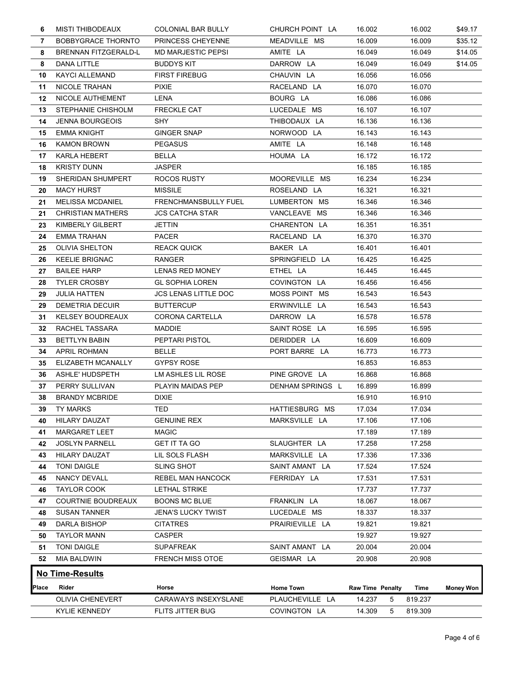| <b>MISTI THIBODEAUX</b>     | COLONIAL BAR BULLY                                                                                                                                                                                                                                                                                                                 | CHURCH POINT LA                                                                                                                                                 | 16.002                                                                                                             | 16.002                                                                                           | \$49.17                                                                                |
|-----------------------------|------------------------------------------------------------------------------------------------------------------------------------------------------------------------------------------------------------------------------------------------------------------------------------------------------------------------------------|-----------------------------------------------------------------------------------------------------------------------------------------------------------------|--------------------------------------------------------------------------------------------------------------------|--------------------------------------------------------------------------------------------------|----------------------------------------------------------------------------------------|
| <b>BOBBYGRACE THORNTO</b>   | PRINCESS CHEYENNE                                                                                                                                                                                                                                                                                                                  | MEADVILLE MS                                                                                                                                                    | 16.009                                                                                                             | 16.009                                                                                           | \$35.12                                                                                |
| BRENNAN FITZGERALD-L        | <b>MD MARJESTIC PEPSI</b>                                                                                                                                                                                                                                                                                                          | AMITE LA                                                                                                                                                        | 16.049                                                                                                             | 16.049                                                                                           | \$14.05                                                                                |
| DANA LITTLE                 | <b>BUDDYS KIT</b>                                                                                                                                                                                                                                                                                                                  | DARROW LA                                                                                                                                                       | 16.049                                                                                                             | 16.049                                                                                           | \$14.05                                                                                |
| <b>KAYCI ALLEMAND</b>       | <b>FIRST FIREBUG</b>                                                                                                                                                                                                                                                                                                               | CHAUVIN LA                                                                                                                                                      | 16.056                                                                                                             | 16.056                                                                                           |                                                                                        |
| NICOLE TRAHAN               | <b>PIXIE</b>                                                                                                                                                                                                                                                                                                                       | RACELAND LA                                                                                                                                                     | 16.070                                                                                                             | 16.070                                                                                           |                                                                                        |
| NICOLE AUTHEMENT            | LENA                                                                                                                                                                                                                                                                                                                               | BOURG LA                                                                                                                                                        | 16.086                                                                                                             | 16.086                                                                                           |                                                                                        |
| STEPHANIE CHISHOLM          | <b>FRECKLE CAT</b>                                                                                                                                                                                                                                                                                                                 | LUCEDALE MS                                                                                                                                                     | 16.107                                                                                                             | 16.107                                                                                           |                                                                                        |
|                             |                                                                                                                                                                                                                                                                                                                                    |                                                                                                                                                                 |                                                                                                                    |                                                                                                  |                                                                                        |
|                             |                                                                                                                                                                                                                                                                                                                                    |                                                                                                                                                                 |                                                                                                                    |                                                                                                  |                                                                                        |
|                             |                                                                                                                                                                                                                                                                                                                                    |                                                                                                                                                                 |                                                                                                                    |                                                                                                  |                                                                                        |
|                             |                                                                                                                                                                                                                                                                                                                                    |                                                                                                                                                                 |                                                                                                                    |                                                                                                  |                                                                                        |
|                             |                                                                                                                                                                                                                                                                                                                                    |                                                                                                                                                                 |                                                                                                                    |                                                                                                  |                                                                                        |
|                             |                                                                                                                                                                                                                                                                                                                                    |                                                                                                                                                                 |                                                                                                                    |                                                                                                  |                                                                                        |
|                             |                                                                                                                                                                                                                                                                                                                                    |                                                                                                                                                                 |                                                                                                                    |                                                                                                  |                                                                                        |
|                             |                                                                                                                                                                                                                                                                                                                                    |                                                                                                                                                                 |                                                                                                                    |                                                                                                  |                                                                                        |
|                             |                                                                                                                                                                                                                                                                                                                                    |                                                                                                                                                                 |                                                                                                                    |                                                                                                  |                                                                                        |
|                             |                                                                                                                                                                                                                                                                                                                                    |                                                                                                                                                                 |                                                                                                                    |                                                                                                  |                                                                                        |
| KIMBERLY GILBERT            | JETTIN                                                                                                                                                                                                                                                                                                                             | CHARENTON LA                                                                                                                                                    |                                                                                                                    | 16.351                                                                                           |                                                                                        |
| <b>EMMA TRAHAN</b>          | <b>PACER</b>                                                                                                                                                                                                                                                                                                                       | RACELAND LA                                                                                                                                                     | 16.370                                                                                                             | 16.370                                                                                           |                                                                                        |
| <b>OLIVIA SHELTON</b>       | <b>REACK QUICK</b>                                                                                                                                                                                                                                                                                                                 | BAKER LA                                                                                                                                                        | 16.401                                                                                                             | 16.401                                                                                           |                                                                                        |
| <b>KEELIE BRIGNAC</b>       | <b>RANGER</b>                                                                                                                                                                                                                                                                                                                      | SPRINGFIELD LA                                                                                                                                                  | 16.425                                                                                                             | 16.425                                                                                           |                                                                                        |
| <b>BAILEE HARP</b>          | <b>LENAS RED MONEY</b>                                                                                                                                                                                                                                                                                                             | ETHEL LA                                                                                                                                                        | 16.445                                                                                                             | 16.445                                                                                           |                                                                                        |
| <b>TYLER CROSBY</b>         | <b>GL SOPHIA LOREN</b>                                                                                                                                                                                                                                                                                                             | COVINGTON LA                                                                                                                                                    | 16.456                                                                                                             | 16.456                                                                                           |                                                                                        |
| <b>JULIA HATTEN</b>         | <b>JCS LENAS LITTLE DOC</b>                                                                                                                                                                                                                                                                                                        | MOSS POINT MS                                                                                                                                                   | 16.543                                                                                                             | 16.543                                                                                           |                                                                                        |
| DEMETRIA DECUIR             | <b>BUTTERCUP</b>                                                                                                                                                                                                                                                                                                                   | ERWINVILLE LA                                                                                                                                                   | 16.543                                                                                                             | 16.543                                                                                           |                                                                                        |
| <b>KELSEY BOUDREAUX</b>     | CORONA CARTELLA                                                                                                                                                                                                                                                                                                                    | DARROW LA                                                                                                                                                       | 16.578                                                                                                             | 16.578                                                                                           |                                                                                        |
| RACHEL TASSARA<br>32        | MADDIE                                                                                                                                                                                                                                                                                                                             | SAINT ROSE LA                                                                                                                                                   | 16.595                                                                                                             | 16.595                                                                                           |                                                                                        |
|                             |                                                                                                                                                                                                                                                                                                                                    |                                                                                                                                                                 |                                                                                                                    |                                                                                                  |                                                                                        |
|                             |                                                                                                                                                                                                                                                                                                                                    |                                                                                                                                                                 |                                                                                                                    |                                                                                                  |                                                                                        |
| <b>BETTLYN BABIN</b>        | PEPTARI PISTOL                                                                                                                                                                                                                                                                                                                     | DERIDDER LA                                                                                                                                                     | 16.609                                                                                                             | 16.609                                                                                           |                                                                                        |
| <b>APRIL ROHMAN</b><br>34   | <b>BELLE</b>                                                                                                                                                                                                                                                                                                                       | PORT BARRE LA                                                                                                                                                   | 16.773                                                                                                             | 16.773                                                                                           |                                                                                        |
| ELIZABETH MCANALLY<br>35    | <b>GYPSY ROSE</b>                                                                                                                                                                                                                                                                                                                  |                                                                                                                                                                 | 16.853                                                                                                             | 16.853                                                                                           |                                                                                        |
| ASHLE' HUDSPETH<br>36       | LM ASHLES LIL ROSE                                                                                                                                                                                                                                                                                                                 | PINE GROVE LA                                                                                                                                                   | 16.868                                                                                                             | 16.868                                                                                           |                                                                                        |
| PERRY SULLIVAN<br>37        | PLAYIN MAIDAS PEP                                                                                                                                                                                                                                                                                                                  | DENHAM SPRINGS L                                                                                                                                                | 16.899                                                                                                             | 16.899                                                                                           |                                                                                        |
| <b>BRANDY MCBRIDE</b><br>38 | <b>DIXIE</b>                                                                                                                                                                                                                                                                                                                       |                                                                                                                                                                 | 16.910                                                                                                             | 16.910                                                                                           |                                                                                        |
| 39 TY MARKS                 | TED                                                                                                                                                                                                                                                                                                                                | HATTIESBURG MS                                                                                                                                                  | 17.034                                                                                                             | 17.034                                                                                           |                                                                                        |
| <b>HILARY DAUZAT</b>        | <b>GENUINE REX</b>                                                                                                                                                                                                                                                                                                                 | MARKSVILLE LA                                                                                                                                                   | 17.106                                                                                                             | 17.106                                                                                           |                                                                                        |
| <b>MARGARET LEET</b><br>41  | <b>MAGIC</b>                                                                                                                                                                                                                                                                                                                       |                                                                                                                                                                 | 17.189                                                                                                             | 17.189                                                                                           |                                                                                        |
| <b>JOSLYN PARNELL</b><br>42 | <b>GET IT TA GO</b>                                                                                                                                                                                                                                                                                                                | SLAUGHTER LA                                                                                                                                                    | 17.258                                                                                                             | 17.258                                                                                           |                                                                                        |
| <b>HILARY DAUZAT</b><br>43  | LIL SOLS FLASH                                                                                                                                                                                                                                                                                                                     | MARKSVILLE LA                                                                                                                                                   | 17.336                                                                                                             | 17.336                                                                                           |                                                                                        |
| <b>TONI DAIGLE</b>          | <b>SLING SHOT</b>                                                                                                                                                                                                                                                                                                                  | SAINT AMANT LA                                                                                                                                                  | 17.524                                                                                                             | 17.524                                                                                           |                                                                                        |
| NANCY DEVALL                | REBEL MAN HANCOCK                                                                                                                                                                                                                                                                                                                  | FERRIDAY LA                                                                                                                                                     | 17.531                                                                                                             | 17.531                                                                                           |                                                                                        |
| TAYLOR COOK                 | LETHAL STRIKE                                                                                                                                                                                                                                                                                                                      |                                                                                                                                                                 | 17.737                                                                                                             | 17.737                                                                                           |                                                                                        |
| <b>COURTNIE BOUDREAUX</b>   | <b>BOONS MC BLUE</b>                                                                                                                                                                                                                                                                                                               | FRANKLIN LA                                                                                                                                                     | 18.067                                                                                                             | 18.067                                                                                           |                                                                                        |
|                             |                                                                                                                                                                                                                                                                                                                                    |                                                                                                                                                                 |                                                                                                                    |                                                                                                  |                                                                                        |
| <b>SUSAN TANNER</b>         | <b>JENA'S LUCKY TWIST</b>                                                                                                                                                                                                                                                                                                          | LUCEDALE MS                                                                                                                                                     | 18.337                                                                                                             | 18.337                                                                                           |                                                                                        |
| <b>DARLA BISHOP</b>         | <b>CITATRES</b>                                                                                                                                                                                                                                                                                                                    | PRAIRIEVILLE LA                                                                                                                                                 | 19.821                                                                                                             | 19.821                                                                                           |                                                                                        |
| <b>TAYLOR MANN</b><br>50    | <b>CASPER</b>                                                                                                                                                                                                                                                                                                                      |                                                                                                                                                                 | 19.927                                                                                                             | 19.927                                                                                           |                                                                                        |
| <b>TONI DAIGLE</b><br>51    | <b>SUPAFREAK</b>                                                                                                                                                                                                                                                                                                                   | SAINT AMANT LA                                                                                                                                                  | 20.004                                                                                                             | 20.004                                                                                           |                                                                                        |
| 52 MIA BALDWIN              | FRENCH MISS OTOE                                                                                                                                                                                                                                                                                                                   | GEISMAR LA                                                                                                                                                      | 20.908                                                                                                             | 20.908                                                                                           |                                                                                        |
| <b>No Time-Results</b>      |                                                                                                                                                                                                                                                                                                                                    |                                                                                                                                                                 |                                                                                                                    |                                                                                                  |                                                                                        |
|                             |                                                                                                                                                                                                                                                                                                                                    |                                                                                                                                                                 |                                                                                                                    |                                                                                                  |                                                                                        |
| Place<br>Rider              | Horse                                                                                                                                                                                                                                                                                                                              | <b>Home Town</b>                                                                                                                                                | Raw Time Penalty                                                                                                   | Time                                                                                             | <b>Money Won</b>                                                                       |
| OLIVIA CHENEVERT            | CARAWAYS INSEXYSLANE                                                                                                                                                                                                                                                                                                               | PLAUCHEVILLE LA                                                                                                                                                 | 14.237<br>5                                                                                                        | 819.237                                                                                          |                                                                                        |
| <b>KYLIE KENNEDY</b>        | FLITS JITTER BUG                                                                                                                                                                                                                                                                                                                   | COVINGTON LA                                                                                                                                                    | 14.309<br>5                                                                                                        | 819.309                                                                                          |                                                                                        |
|                             |                                                                                                                                                                                                                                                                                                                                    |                                                                                                                                                                 |                                                                                                                    |                                                                                                  |                                                                                        |
|                             |                                                                                                                                                                                                                                                                                                                                    |                                                                                                                                                                 |                                                                                                                    |                                                                                                  |                                                                                        |
|                             |                                                                                                                                                                                                                                                                                                                                    |                                                                                                                                                                 |                                                                                                                    |                                                                                                  | Page 4 of 6                                                                            |
| 7<br>28<br>29<br>29         | 10<br>11<br>12<br>13<br><b>JENNA BOURGEOIS</b><br>14<br><b>EMMA KNIGHT</b><br>15<br><b>KAMON BROWN</b><br>16<br><b>KARLA HEBERT</b><br>17<br><b>KRISTY DUNN</b><br>18<br>SHERIDAN SHUMPERT<br>19<br><b>MACY HURST</b><br>20<br><b>MELISSA MCDANIEL</b><br>21<br><b>CHRISTIAN MATHERS</b><br>21<br>23<br>24<br>25<br>26<br>27<br>31 | SHY<br><b>GINGER SNAP</b><br><b>PEGASUS</b><br><b>BELLA</b><br><b>JASPER</b><br>ROCOS RUSTY<br><b>MISSILE</b><br>FRENCHMANSBULLY FUEL<br><b>JCS CATCHA STAR</b> | THIBODAUX LA<br>NORWOOD LA<br>AMITE LA<br>HOUMA LA<br>MOOREVILLE MS<br>ROSELAND LA<br>LUMBERTON MS<br>VANCLEAVE MS | 16.136<br>16.143<br>16.148<br>16.172<br>16.185<br>16.234<br>16.321<br>16.346<br>16.346<br>16.351 | 16.136<br>16.143<br>16.148<br>16.172<br>16.185<br>16.234<br>16.321<br>16.346<br>16.346 |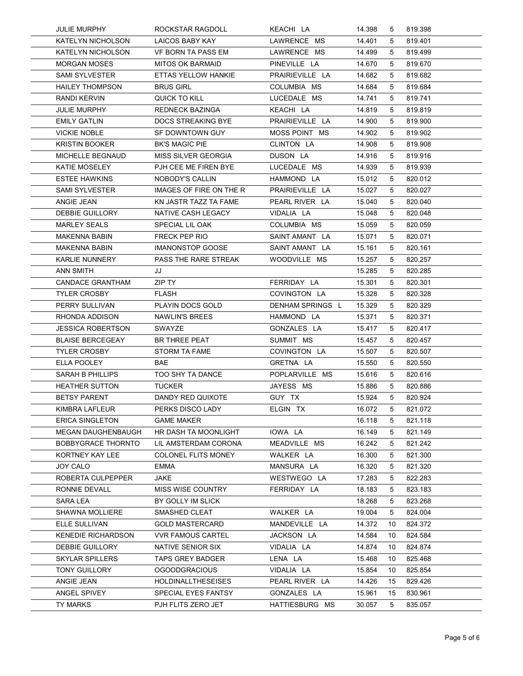| JULIE MURPHY                                        |                                                 |                                 |                  |          |                    |  |
|-----------------------------------------------------|-------------------------------------------------|---------------------------------|------------------|----------|--------------------|--|
|                                                     |                                                 |                                 |                  |          |                    |  |
|                                                     |                                                 |                                 |                  |          |                    |  |
|                                                     |                                                 |                                 |                  |          |                    |  |
|                                                     |                                                 |                                 |                  |          |                    |  |
|                                                     | ROCKSTAR RAGDOLL                                | KEACHI LA                       | 14.398           | 5        | 819.398            |  |
| KATELYN NICHOLSON                                   | LAICOS BABY KAY                                 | LAWRENCE MS                     | 14.401           | 5        | 819.401            |  |
| <b>KATELYN NICHOLSON</b>                            | VF BORN TA PASS EM                              | LAWRENCE MS                     | 14.499           | 5        | 819.499            |  |
| <b>MORGAN MOSES</b><br><b>SAMI SYLVESTER</b>        | <b>MITOS OK BARMAID</b><br>ETTAS YELLOW HANKIE  | PINEVILLE LA<br>PRAIRIEVILLE LA | 14.670<br>14.682 | 5<br>5   | 819.670<br>819.682 |  |
| <b>HAILEY THOMPSON</b>                              | <b>BRUS GIRL</b>                                | COLUMBIA MS                     | 14.684           | 5        | 819.684            |  |
| RANDI KERVIN                                        | QUICK TO KILL                                   | LUCEDALE MS                     | 14.741           | 5        | 819.741            |  |
| <b>JULIE MURPHY</b>                                 | REDNECK BAZINGA                                 | KEACHI LA                       | 14.819           | 5        | 819.819            |  |
| <b>EMILY GATLIN</b>                                 | <b>DOCS STREAKING BYE</b>                       | PRAIRIEVILLE LA                 | 14.900           | 5        | 819.900            |  |
| <b>VICKIE NOBLE</b><br><b>KRISTIN BOOKER</b>        | SF DOWNTOWN GUY<br><b>BK'S MAGIC PIE</b>        | MOSS POINT MS<br>CLINTON LA     | 14.902<br>14.908 | 5<br>5   | 819.902<br>819.908 |  |
| <b>MICHELLE BEGNAUD</b>                             | MISS SILVER GEORGIA                             | DUSON LA                        | 14.916           | 5        | 819.916            |  |
| KATIE MOSELEY                                       | PJH CEE ME FIREN BYE                            | LUCEDALE MS                     | 14.939           | 5        | 819.939            |  |
| <b>ESTEE HAWKINS</b><br>SAMI SYLVESTER              | NOBODY'S CALLIN<br>IMAGES OF FIRE ON THE R      | HAMMOND LA<br>PRAIRIEVILLE LA   | 15.012           | 5        | 820.012            |  |
| ANGIE JEAN                                          | KN JASTR TAZZ TA FAME                           | PEARL RIVER LA                  | 15.027<br>15.040 | 5<br>5   | 820.027<br>820.040 |  |
| <b>DEBBIE GUILLORY</b>                              | NATIVE CASH LEGACY                              | VIDALIA LA                      | 15.048           | 5        | 820.048            |  |
| <b>MARLEY SEALS</b>                                 | SPECIAL LIL OAK                                 | COLUMBIA MS                     | 15.059           | 5        | 820.059            |  |
| <b>MAKENNA BABIN</b>                                | FRECK PEP RIO                                   | SAINT AMANT LA                  | 15.071           | 5        | 820.071            |  |
| <b>MAKENNA BABIN</b><br><b>KARLIE NUNNERY</b>       | <b>IMANONSTOP GOOSE</b><br>PASS THE RARE STREAK | SAINT AMANT LA<br>WOODVILLE MS  | 15.161<br>15.257 | 5<br>5   | 820.161<br>820.257 |  |
| ANN SMITH                                           | JJ                                              |                                 | 15.285           | 5        | 820.285            |  |
| <b>CANDACE GRANTHAM</b>                             | ZIP TY                                          | FERRIDAY LA                     | 15.301           | 5        | 820.301            |  |
| <b>TYLER CROSBY</b>                                 | <b>FLASH</b>                                    | COVINGTON LA                    | 15.328           | 5        | 820.328            |  |
| PERRY SULLIVAN<br>RHONDA ADDISON                    | PLAYIN DOCS GOLD<br>NAWLIN'S BREES              | DENHAM SPRINGS L<br>HAMMOND LA  | 15.329<br>15.371 | 5<br>5   | 820.329<br>820.371 |  |
| <b>JESSICA ROBERTSON</b>                            | SWAYZE                                          | GONZALES LA                     | 15.417           | 5        | 820.417            |  |
| <b>BLAISE BERCEGEAY</b>                             | <b>BR THREE PEAT</b>                            | SUMMIT MS                       | 15.457           | 5        | 820.457            |  |
| <b>TYLER CROSBY</b>                                 | STORM TA FAME                                   | COVINGTON LA                    | 15.507           | 5        | 820.507            |  |
| ELLA POOLEY<br><b>SARAH B PHILLIPS</b>              | BAE<br>TOO SHY TA DANCE                         | GRETNA LA<br>POPLARVILLE MS     | 15.550<br>15.616 | 5<br>5   | 820.550<br>820.616 |  |
| <b>HEATHER SUTTON</b>                               | <b>TUCKER</b>                                   | JAYESS MS                       | 15.886           | 5        | 820.886            |  |
| <b>BETSY PARENT</b>                                 | DANDY RED QUIXOTE                               | GUY TX                          | 15.924           | 5        | 820.924            |  |
| KIMBRA LAFLEUR                                      | PERKS DISCO LADY                                | ELGIN TX                        | 16.072           | 5        | 821.072            |  |
| <b>ERICA SINGLETON</b><br><b>MEGAN DAUGHENBAUGH</b> | <b>GAME MAKER</b><br>HR DASH TA MOONLIGHT       | IOWA LA                         | 16.118<br>16.149 | 5        | 821.118<br>821.149 |  |
| <b>BOBBYGRACE THORNTO</b>                           | LIL AMSTERDAM CORONA                            | MEADVILLE MS                    | 16.242           | 5<br>5   | 821.242            |  |
| KORTNEY KAY LEE                                     | <b>COLONEL FLITS MONEY</b>                      | WALKER LA                       | 16.300           | 5        | 821.300            |  |
| JOY CALO                                            | EMMA                                            | MANSURA LA                      | 16.320           | 5        | 821.320            |  |
| ROBERTA CULPEPPER                                   | JAKE                                            | WESTWEGO LA                     | 17.283           | 5        | 822.283            |  |
| RONNIE DEVALL<br><b>SARA LEA</b>                    | <b>MISS WISE COUNTRY</b><br>BY GOLLY IM SLICK   | FERRIDAY LA                     | 18.183<br>18.268 | 5<br>5   | 823.183<br>823.268 |  |
| <b>SHAWNA MOLLIERE</b>                              | SMASHED CLEAT                                   | WALKER LA                       | 19.004           | 5        | 824.004            |  |
| ELLE SULLIVAN                                       | <b>GOLD MASTERCARD</b>                          | MANDEVILLE LA                   | 14.372           | 10       | 824.372            |  |
| <b>KENEDIE RICHARDSON</b>                           | <b>VVR FAMOUS CARTEL</b>                        | JACKSON LA                      | 14.584           | 10       | 824.584            |  |
| DEBBIE GUILLORY<br><b>SKYLAR SPILLERS</b>           | NATIVE SENIOR SIX<br><b>TAPS GREY BADGER</b>    | VIDALIA LA<br>LENA LA           | 14.874<br>15.468 | 10<br>10 | 824.874<br>825.468 |  |
| TONY GUILLORY                                       | <b>OGOODGRACIOUS</b>                            | VIDALIA LA                      | 15.854           | 10       | 825.854            |  |
| ANGIE JEAN                                          | <b>HOLDINALLTHESEISES</b>                       | PEARL RIVER LA                  | 14.426           | 15       | 829.426            |  |
| ANGEL SPIVEY                                        | SPECIAL EYES FANTSY                             | GONZALES LA                     | 15.961           | 15       | 830.961            |  |